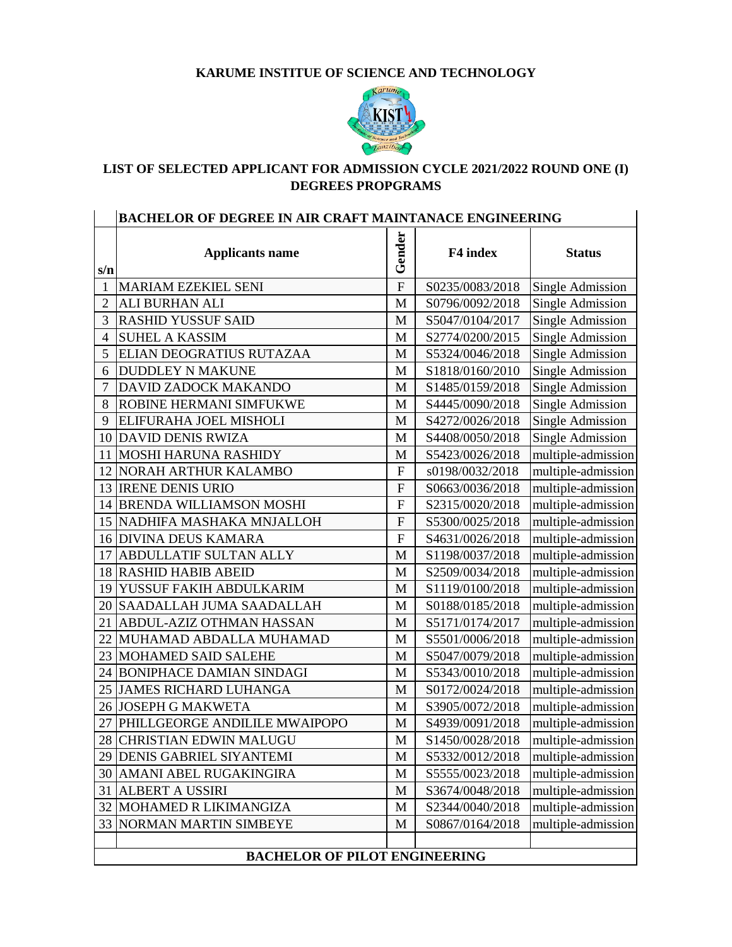## **KARUME INSTITUE OF SCIENCE AND TECHNOLOGY**



## **LIST OF SELECTED APPLICANT FOR ADMISSION CYCLE 2021/2022 ROUND ONE (I) DEGREES PROPGRAMS**

| BACHELOR OF DEGREE IN AIR CRAFT MAINTANACE ENGINEERING |                                 |                  |                 |                         |
|--------------------------------------------------------|---------------------------------|------------------|-----------------|-------------------------|
| s/n                                                    | <b>Applicants name</b>          | Gender           | F4 index        | <b>Status</b>           |
| $\mathbf{1}$                                           | MARIAM EZEKIEL SENI             | $\overline{F}$   | S0235/0083/2018 | Single Admission        |
| $\overline{2}$                                         | ALI BURHAN ALI                  | M                | S0796/0092/2018 | Single Admission        |
| 3                                                      | <b>RASHID YUSSUF SAID</b>       | M                | S5047/0104/2017 | Single Admission        |
| 4                                                      | <b>SUHEL A KASSIM</b>           | M                | S2774/0200/2015 | Single Admission        |
| 5                                                      | ELIAN DEOGRATIUS RUTAZAA        | M                | S5324/0046/2018 | Single Admission        |
| 6                                                      | <b>DUDDLEY N MAKUNE</b>         | M                | S1818/0160/2010 | Single Admission        |
| 7                                                      | DAVID ZADOCK MAKANDO            | M                | S1485/0159/2018 | <b>Single Admission</b> |
| 8                                                      | ROBINE HERMANI SIMFUKWE         | M                | S4445/0090/2018 | Single Admission        |
| 9                                                      | ELIFURAHA JOEL MISHOLI          | M                | S4272/0026/2018 | <b>Single Admission</b> |
| 10                                                     | <b>DAVID DENIS RWIZA</b>        | M                | S4408/0050/2018 | Single Admission        |
| 11                                                     | <b>MOSHI HARUNA RASHIDY</b>     | M                | S5423/0026/2018 | multiple-admission      |
| 12                                                     | <b>NORAH ARTHUR KALAMBO</b>     | $\mathbf{F}$     | s0198/0032/2018 | multiple-admission      |
| 13                                                     | <b>IRENE DENIS URIO</b>         | $\boldsymbol{F}$ | S0663/0036/2018 | multiple-admission      |
| 14                                                     | <b>BRENDA WILLIAMSON MOSHI</b>  | $\mathbf F$      | S2315/0020/2018 | multiple-admission      |
| 15                                                     | NADHIFA MASHAKA MNJALLOH        | $\boldsymbol{F}$ | S5300/0025/2018 | multiple-admission      |
| 16                                                     | <b>DIVINA DEUS KAMARA</b>       | F                | S4631/0026/2018 | multiple-admission      |
| 17                                                     | ABDULLATIF SULTAN ALLY          | M                | S1198/0037/2018 | multiple-admission      |
| 18                                                     | <b>RASHID HABIB ABEID</b>       | M                | S2509/0034/2018 | multiple-admission      |
| 19                                                     | YUSSUF FAKIH ABDULKARIM         | M                | S1119/0100/2018 | multiple-admission      |
| <b>20</b>                                              | <b>SAADALLAH JUMA SAADALLAH</b> | M                | S0188/0185/2018 | multiple-admission      |
| 21                                                     | ABDUL-AZIZ OTHMAN HASSAN        | M                | S5171/0174/2017 | multiple-admission      |
| 22                                                     | MUHAMAD ABDALLA MUHAMAD         | M                | S5501/0006/2018 | multiple-admission      |
| 23                                                     | <b>MOHAMED SAID SALEHE</b>      | M                | S5047/0079/2018 | multiple-admission      |
| 24                                                     | <b>BONIPHACE DAMIAN SINDAGI</b> | M                | S5343/0010/2018 | multiple-admission      |
| 25                                                     | <b>JAMES RICHARD LUHANGA</b>    | M                | S0172/0024/2018 | multiple-admission      |
| 26                                                     | <b>JOSEPH G MAKWETA</b>         | M                | S3905/0072/2018 | multiple-admission      |
| 27                                                     | PHILLGEORGE ANDILILE MWAIPOPO   | M                | S4939/0091/2018 | multiple-admission      |
| 28                                                     | <b>CHRISTIAN EDWIN MALUGU</b>   | M                | S1450/0028/2018 | multiple-admission      |
|                                                        | 29 DENIS GABRIEL SIYANTEMI      | M                | S5332/0012/2018 | multiple-admission      |
| 30                                                     | AMANI ABEL RUGAKINGIRA          | M                | S5555/0023/2018 | multiple-admission      |
| 31                                                     | <b>ALBERT A USSIRI</b>          | M                | S3674/0048/2018 | multiple-admission      |
| 32                                                     | MOHAMED R LIKIMANGIZA           | M                | S2344/0040/2018 | multiple-admission      |
| 33                                                     | NORMAN MARTIN SIMBEYE           | M                | S0867/0164/2018 | multiple-admission      |
|                                                        |                                 |                  |                 |                         |
| <b>BACHELOR OF PILOT ENGINEERING</b>                   |                                 |                  |                 |                         |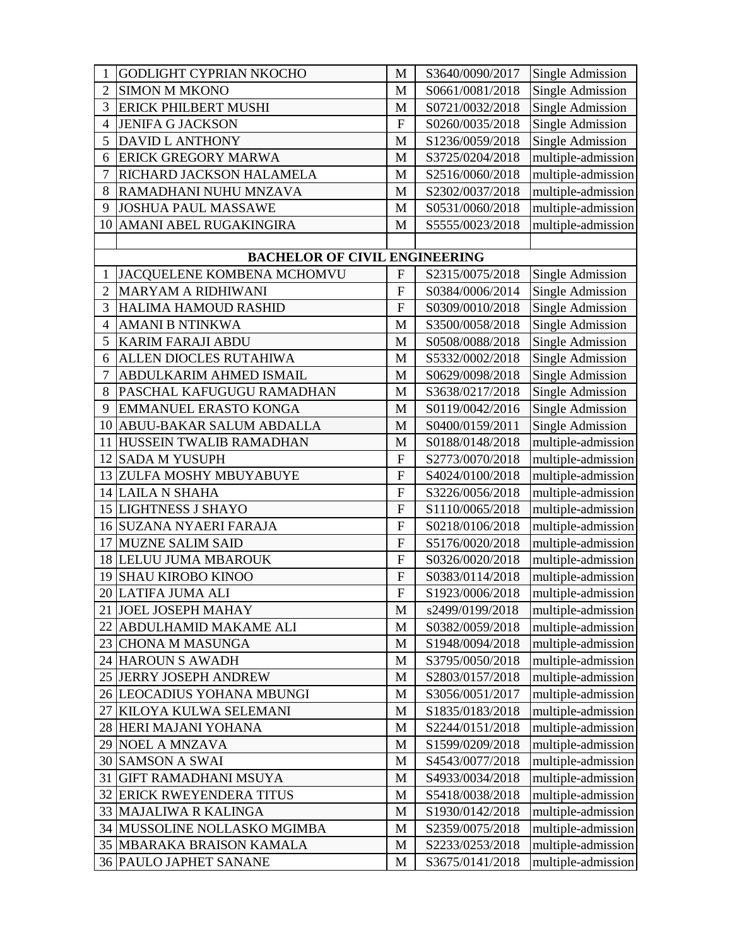| 1               | <b>GODLIGHT CYPRIAN NKOCHO</b>       | M                | S3640/0090/2017 | Single Admission        |
|-----------------|--------------------------------------|------------------|-----------------|-------------------------|
| $\overline{2}$  | <b>SIMON M MKONO</b>                 | M                | S0661/0081/2018 | Single Admission        |
| 3               | <b>ERICK PHILBERT MUSHI</b>          | M                | S0721/0032/2018 | <b>Single Admission</b> |
| 4               | <b>JENIFA G JACKSON</b>              | $\mathbf F$      | S0260/0035/2018 | Single Admission        |
| 5               | <b>DAVID L ANTHONY</b>               | M                | S1236/0059/2018 | <b>Single Admission</b> |
| 6               | <b>ERICK GREGORY MARWA</b>           | M                | S3725/0204/2018 | multiple-admission      |
| 7               | RICHARD JACKSON HALAMELA             | M                | S2516/0060/2018 | multiple-admission      |
| 8               | RAMADHANI NUHU MNZAVA                | M                | S2302/0037/2018 | multiple-admission      |
| 9               | <b>JOSHUA PAUL MASSAWE</b>           | M                | S0531/0060/2018 | multiple-admission      |
| 10              | AMANI ABEL RUGAKINGIRA               | M                | S5555/0023/2018 | multiple-admission      |
|                 |                                      |                  |                 |                         |
|                 | <b>BACHELOR OF CIVIL ENGINEERING</b> |                  |                 |                         |
| $\mathbf{1}$    | JACQUELENE KOMBENA MCHOMVU           | $\boldsymbol{F}$ | S2315/0075/2018 | Single Admission        |
| $\overline{2}$  | <b>MARYAM A RIDHIWANI</b>            | $\mathbf{F}$     | S0384/0006/2014 | Single Admission        |
| 3               | HALIMA HAMOUD RASHID                 | $\mathbf F$      | S0309/0010/2018 | Single Admission        |
| 4               | <b>AMANI B NTINKWA</b>               | M                | S3500/0058/2018 | Single Admission        |
| 5               | <b>KARIM FARAJI ABDU</b>             | M                | S0508/0088/2018 | <b>Single Admission</b> |
| 6               | ALLEN DIOCLES RUTAHIWA               | M                | S5332/0002/2018 | Single Admission        |
| $\overline{7}$  | ABDULKARIM AHMED ISMAIL              | M                | S0629/0098/2018 | Single Admission        |
| 8               | PASCHAL KAFUGUGU RAMADHAN            | M                | S3638/0217/2018 | <b>Single Admission</b> |
| 9               | EMMANUEL ERASTO KONGA                | M                | S0119/0042/2016 | Single Admission        |
| 10              | ABUU-BAKAR SALUM ABDALLA             | M                | S0400/0159/2011 | Single Admission        |
| 11              | HUSSEIN TWALIB RAMADHAN              | M                | S0188/0148/2018 | multiple-admission      |
| 12              | <b>SADA M YUSUPH</b>                 | $\mathbf{F}$     | S2773/0070/2018 | multiple-admission      |
| 13              | ZULFA MOSHY MBUYABUYE                | $\mathbf F$      | S4024/0100/2018 | multiple-admission      |
|                 | 14 LAILA N SHAHA                     | $\mathbf F$      | S3226/0056/2018 | multiple-admission      |
| 15 <sup>1</sup> | <b>LIGHTNESS J SHAYO</b>             | $\boldsymbol{F}$ | S1110/0065/2018 | multiple-admission      |
| 16              | <b>SUZANA NYAERI FARAJA</b>          | $\mathbf F$      | S0218/0106/2018 | multiple-admission      |
| 17              | <b>MUZNE SALIM SAID</b>              | $\mathbf F$      | S5176/0020/2018 | multiple-admission      |
| 18              | LELUU JUMA MBAROUK                   | $\overline{F}$   | S0326/0020/2018 | multiple-admission      |
| 19              | <b>SHAU KIROBO KINOO</b>             | $\mathbf{F}$     | S0383/0114/2018 | multiple-admission      |
|                 | 20 LATIFA JUMA ALI                   | $\mathbf F$      | S1923/0006/2018 | multiple-admission      |
|                 | 21 JOEL JOSEPH MAHAY                 | M                | s2499/0199/2018 | multiple-admission      |
| 22              | ABDULHAMID MAKAME ALI                | M                | S0382/0059/2018 | multiple-admission      |
| 23              | <b>CHONA M MASUNGA</b>               | M                | S1948/0094/2018 | multiple-admission      |
| 24              | <b>HAROUN S AWADH</b>                | M                | S3795/0050/2018 | multiple-admission      |
| 25              | <b>JERRY JOSEPH ANDREW</b>           | M                | S2803/0157/2018 | multiple-admission      |
| 26              | LEOCADIUS YOHANA MBUNGI              | M                | S3056/0051/2017 | multiple-admission      |
| 27              | KILOYA KULWA SELEMANI                | M                | S1835/0183/2018 | multiple-admission      |
|                 | 28 HERI MAJANI YOHANA                | M                | S2244/0151/2018 | multiple-admission      |
| 29              | <b>NOEL A MNZAVA</b>                 | M                | S1599/0209/2018 | multiple-admission      |
| 30              | <b>SAMSON A SWAI</b>                 | M                | S4543/0077/2018 | multiple-admission      |
| 31              | <b>GIFT RAMADHANI MSUYA</b>          | M                | S4933/0034/2018 | multiple-admission      |
| 32              | <b>ERICK RWEYENDERA TITUS</b>        | M                | S5418/0038/2018 | multiple-admission      |
| 33              | MAJALIWA R KALINGA                   | M                | S1930/0142/2018 | multiple-admission      |
|                 | 34 MUSSOLINE NOLLASKO MGIMBA         | M                | S2359/0075/2018 | multiple-admission      |
|                 | 35 MBARAKA BRAISON KAMALA            | M                | S2233/0253/2018 | multiple-admission      |
|                 | <b>36 PAULO JAPHET SANANE</b>        | M                | S3675/0141/2018 | multiple-admission      |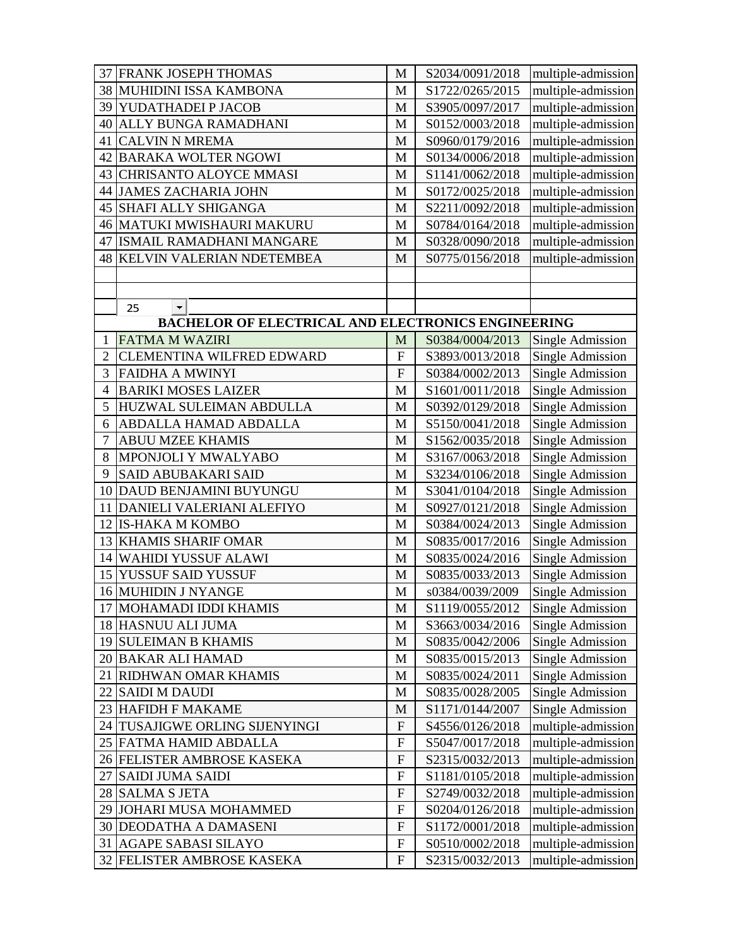|      | <b>37 FRANK JOSEPH THOMAS</b>                             | M              | S2034/0091/2018 | multiple-admission      |
|------|-----------------------------------------------------------|----------------|-----------------|-------------------------|
|      | 38 MUHIDINI ISSA KAMBONA                                  | M              | S1722/0265/2015 | multiple-admission      |
| 39   | YUDATHADEI P JACOB                                        | M              | S3905/0097/2017 | multiple-admission      |
| 40   | ALLY BUNGA RAMADHANI                                      | M              | S0152/0003/2018 | multiple-admission      |
| 41   | <b>CALVIN N MREMA</b>                                     | M              | S0960/0179/2016 | multiple-admission      |
| 42   | <b>BARAKA WOLTER NGOWI</b>                                | M              | S0134/0006/2018 | multiple-admission      |
| 43   | CHRISANTO ALOYCE MMASI                                    | M              | S1141/0062/2018 | multiple-admission      |
|      | 44 JAMES ZACHARIA JOHN                                    | M              | S0172/0025/2018 | multiple-admission      |
| 45   | SHAFI ALLY SHIGANGA                                       | M              | S2211/0092/2018 | multiple-admission      |
| 46   | MATUKI MWISHAURI MAKURU                                   | M              | S0784/0164/2018 | multiple-admission      |
| 47   | ISMAIL RAMADHANI MANGARE                                  | M              | S0328/0090/2018 | multiple-admission      |
| 48   | KELVIN VALERIAN NDETEMBEA                                 | M              | S0775/0156/2018 | multiple-admission      |
|      |                                                           |                |                 |                         |
|      |                                                           |                |                 |                         |
|      | $\left  \cdot \right $<br>25                              |                |                 |                         |
|      | <b>BACHELOR OF ELECTRICAL AND ELECTRONICS ENGINEERING</b> |                |                 |                         |
| 1    | <b>FATMA M WAZIRI</b>                                     | M              | S0384/0004/2013 | Single Admission        |
| 2    | CLEMENTINA WILFRED EDWARD                                 | $\mathbf{F}$   | S3893/0013/2018 | Single Admission        |
| 3    | <b>FAIDHA A MWINYI</b>                                    | $\overline{F}$ | S0384/0002/2013 | Single Admission        |
| 4    | <b>BARIKI MOSES LAIZER</b>                                | M              | S1601/0011/2018 | Single Admission        |
| 5    | HUZWAL SULEIMAN ABDULLA                                   | M              | S0392/0129/2018 | <b>Single Admission</b> |
| 6    | ABDALLA HAMAD ABDALLA                                     | M              | S5150/0041/2018 | Single Admission        |
| 7    | <b>ABUU MZEE KHAMIS</b>                                   | M              | S1562/0035/2018 | Single Admission        |
| 8    | MPONJOLI Y MWALYABO                                       | M              | S3167/0063/2018 | Single Admission        |
| 9    | <b>SAID ABUBAKARI SAID</b>                                | M              | S3234/0106/2018 | Single Admission        |
| 10   | DAUD BENJAMINI BUYUNGU                                    | M              | S3041/0104/2018 | Single Admission        |
| 11   | DANIELI VALERIANI ALEFIYO                                 | M              | S0927/0121/2018 | Single Admission        |
| 12   | <b>IS-HAKA M KOMBO</b>                                    | M              | S0384/0024/2013 | Single Admission        |
| 13   | <b>KHAMIS SHARIF OMAR</b>                                 | M              | S0835/0017/2016 | Single Admission        |
| 14   | <b>WAHIDI YUSSUF ALAWI</b>                                | M              | S0835/0024/2016 | Single Admission        |
| 15   | YUSSUF SAID YUSSUF                                        | M              | S0835/0033/2013 | Single Admission        |
|      | <b>16 MUHIDIN J NYANGE</b>                                | M              | s0384/0039/2009 | <b>Single Admission</b> |
|      | 17 MOHAMADI IDDI KHAMIS                                   | M              | S1119/0055/2012 | Single Admission        |
|      | 18 HASNUU ALI JUMA                                        | M              | S3663/0034/2016 | Single Admission        |
|      | 19 SULEIMAN B KHAMIS                                      | M              | S0835/0042/2006 | Single Admission        |
|      | 20 BAKAR ALI HAMAD                                        | M              | S0835/0015/2013 | Single Admission        |
| 21   | RIDHWAN OMAR KHAMIS                                       | M              | S0835/0024/2011 | Single Admission        |
| 22   | <b>SAIDI M DAUDI</b>                                      | M              | S0835/0028/2005 | Single Admission        |
|      | 23 HAFIDH F MAKAME                                        | M              | S1171/0144/2007 | Single Admission        |
| 24   | TUSAJIGWE ORLING SIJENYINGI                               | ${\bf F}$      | S4556/0126/2018 | multiple-admission      |
| 25 I | FATMA HAMID ABDALLA                                       | $\mathbf F$    | S5047/0017/2018 | multiple-admission      |
|      | 26 FELISTER AMBROSE KASEKA                                | $\overline{F}$ | S2315/0032/2013 | multiple-admission      |
| 27   | <b>SAIDI JUMA SAIDI</b>                                   | $\mathbf F$    | S1181/0105/2018 | multiple-admission      |
|      | 28 SALMA S JETA                                           | $\mathbf F$    | S2749/0032/2018 | multiple-admission      |
| 29   | JOHARI MUSA MOHAMMED                                      | $\mathbf F$    | S0204/0126/2018 | multiple-admission      |
| 30   | <b>DEODATHA A DAMASENI</b>                                | $\mathbf F$    | S1172/0001/2018 | multiple-admission      |
| 31   | <b>AGAPE SABASI SILAYO</b>                                | $\mathbf F$    | S0510/0002/2018 | multiple-admission      |
|      | 32 FELISTER AMBROSE KASEKA                                | $\mathbf F$    | S2315/0032/2013 | multiple-admission      |